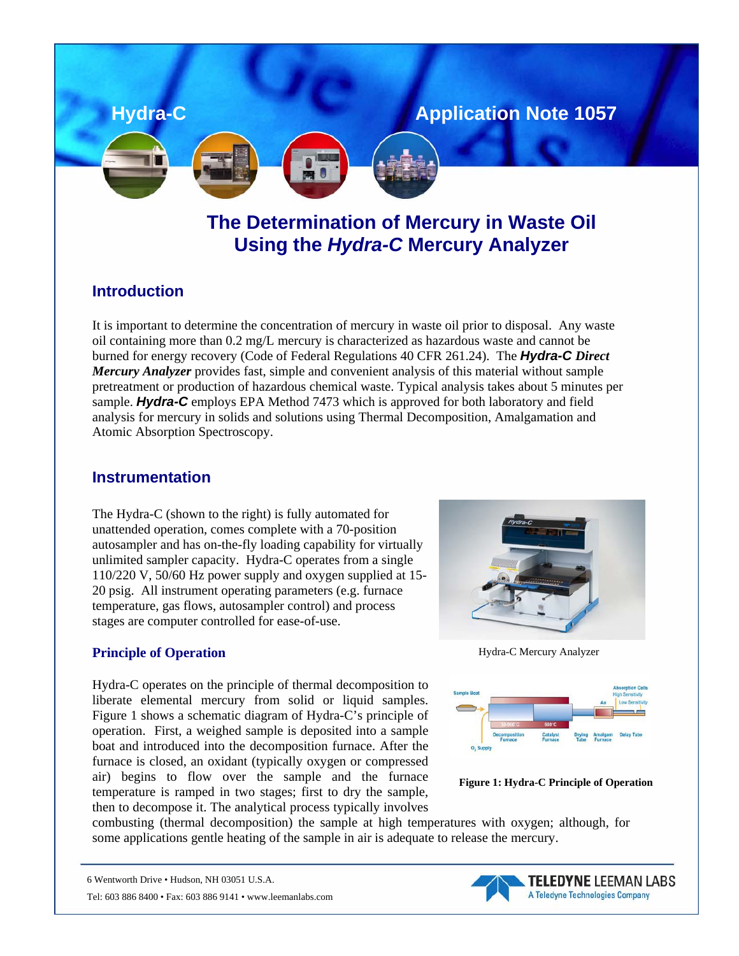

# **The Determination of Mercury in Waste Oil Using the** *Hydra-C* **Mercury Analyzer**

#### **Introduction**

It is important to determine the concentration of mercury in waste oil prior to disposal. Any waste oil containing more than 0.2 mg/L mercury is characterized as hazardous waste and cannot be burned for energy recovery (Code of Federal Regulations 40 CFR 261.24). The *Hydra-C Direct Mercury Analyzer* provides fast, simple and convenient analysis of this material without sample pretreatment or production of hazardous chemical waste. Typical analysis takes about 5 minutes per sample. *Hydra-C* employs EPA Method 7473 which is approved for both laboratory and field analysis for mercury in solids and solutions using Thermal Decomposition, Amalgamation and Atomic Absorption Spectroscopy.

#### **Instrumentation**

The Hydra-C (shown to the right) is fully automated for unattended operation, comes complete with a 70-position autosampler and has on-the-fly loading capability for virtually unlimited sampler capacity. Hydra-C operates from a single 110/220 V, 50/60 Hz power supply and oxygen supplied at 15- 20 psig. All instrument operating parameters (e.g. furnace temperature, gas flows, autosampler control) and process stages are computer controlled for ease-of-use.

#### **Principle of Operation**

Hydra-C operates on the principle of thermal decomposition to liberate elemental mercury from solid or liquid samples. Figure 1 shows a schematic diagram of Hydra-C's principle of operation. First, a weighed sample is deposited into a sample boat and introduced into the decomposition furnace. After the furnace is closed, an oxidant (typically oxygen or compressed air) begins to flow over the sample and the furnace temperature is ramped in two stages; first to dry the sample, then to decompose it. The analytical process typically involves



Hydra-C Mercury Analyzer





combusting (thermal decomposition) the sample at high temperatures with oxygen; although, for some applications gentle heating of the sample in air is adequate to release the mercury.

<sup>6</sup> Wentworth Drive • Hudson, NH 03051 U.S.A.



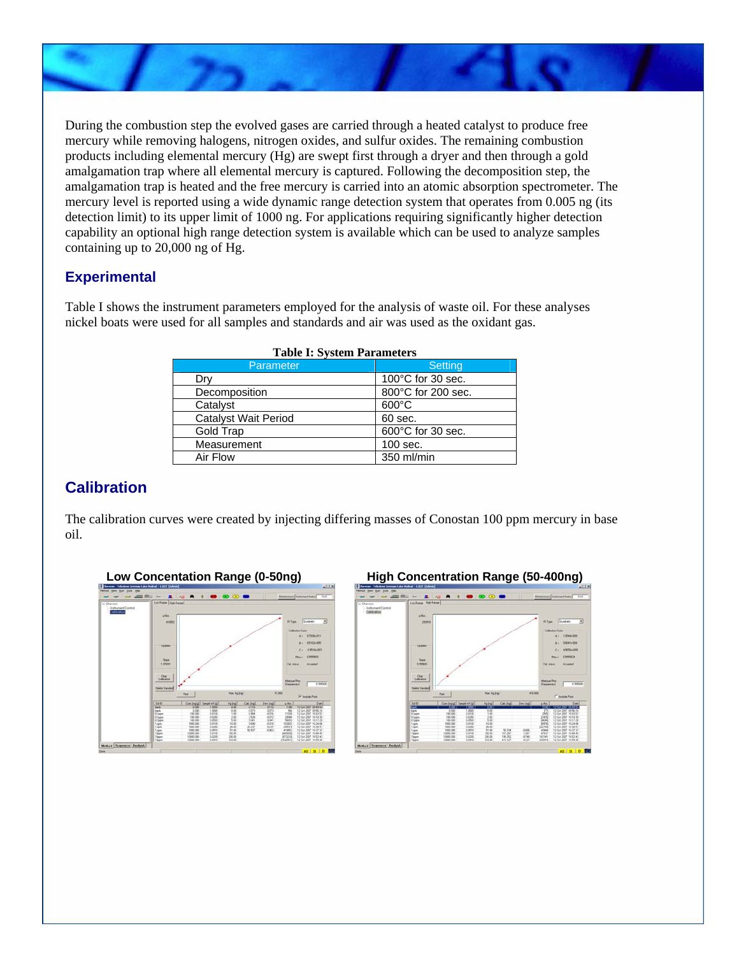During the combustion step the evolved gases are carried through a heated catalyst to produce free mercury while removing halogens, nitrogen oxides, and sulfur oxides. The remaining combustion products including elemental mercury (Hg) are swept first through a dryer and then through a gold amalgamation trap where all elemental mercury is captured. Following the decomposition step, the amalgamation trap is heated and the free mercury is carried into an atomic absorption spectrometer. The mercury level is reported using a wide dynamic range detection system that operates from 0.005 ng (its detection limit) to its upper limit of 1000 ng. For applications requiring significantly higher detection capability an optional high range detection system is available which can be used to analyze samples containing up to 20,000 ng of Hg.

#### **Experimental**

Table I shows the instrument parameters employed for the analysis of waste oil. For these analyses nickel boats were used for all samples and standards and air was used as the oxidant gas.

| Parameter                   | Setting                     |  |  |
|-----------------------------|-----------------------------|--|--|
| Dry                         | $100^{\circ}$ C for 30 sec. |  |  |
| Decomposition               | 800°C for 200 sec.          |  |  |
| Catalyst                    | $600^{\circ}$ C             |  |  |
| <b>Catalyst Wait Period</b> | 60 sec.                     |  |  |
| Gold Trap                   | 600°C for 30 sec.           |  |  |
| Measurement                 | 100 sec.                    |  |  |
| Air Flow                    | 350 ml/min                  |  |  |

#### **Table I: System Parameters**

### **Calibration**

The calibration curves were created by injecting differing masses of Conostan 100 ppm mercury in base oil.